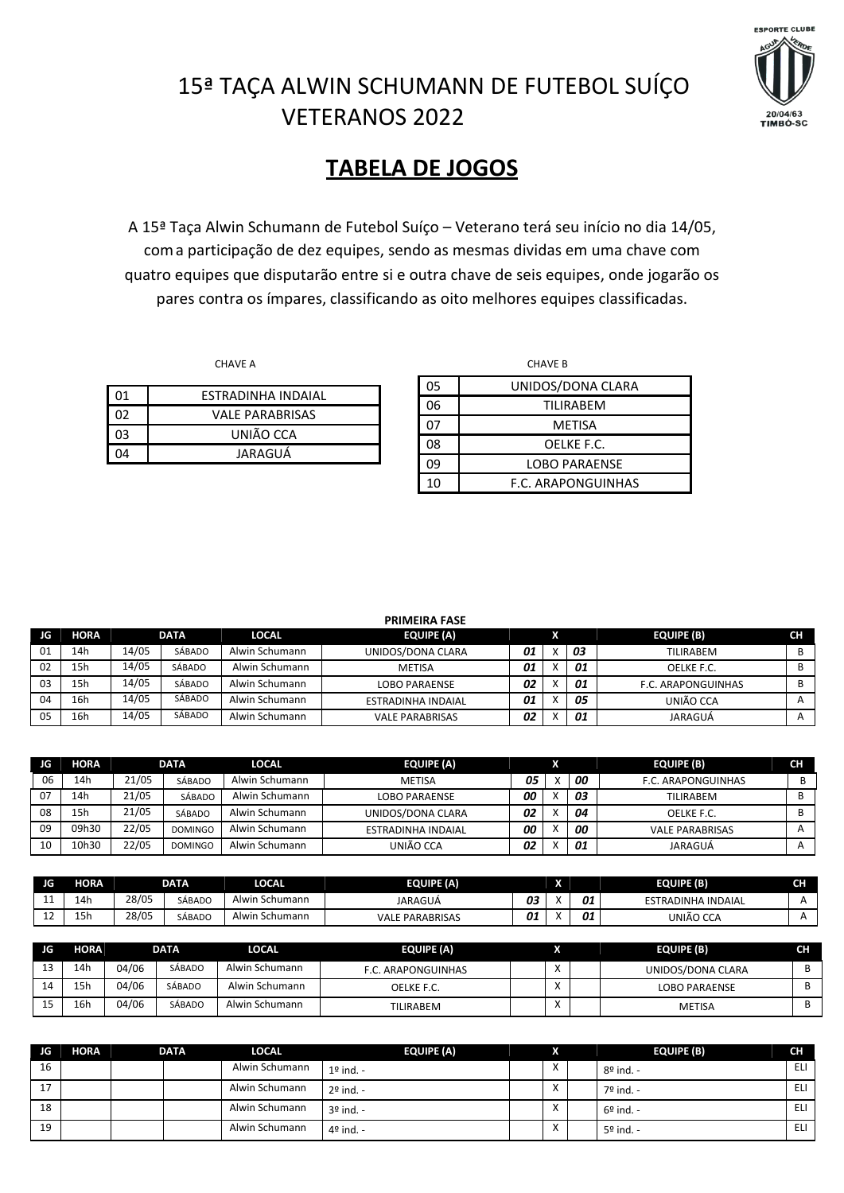

## 15ª TAÇA ALWIN SCHUMANN DE FUTEBOL SUÍÇO VETERANOS 2022

## **TABELA DE JOGOS**

A 15ª Taça Alwin Schumann de Futebol Suíço – Veterano terá seu início no dia 14/05, coma participação de dez equipes, sendo as mesmas dividas em uma chave com quatro equipes que disputarão entre si e outra chave de seis equipes, onde jogarão os pares contra os ímpares, classificando as oito melhores equipes classificadas.

| า1 | FSTRADINHA INDAIAI     |
|----|------------------------|
| ነን | <b>VALE PARABRISAS</b> |
| 03 | UNIÃO CCA              |
| ١Δ | JARAGUÁ                |
|    |                        |

|    | <b>CHAVE A</b>            |    | <b>CHAVE B</b>       |
|----|---------------------------|----|----------------------|
|    |                           | 05 | UNIDOS/DONA CLARA    |
| 01 | <b>ESTRADINHA INDAIAL</b> | 06 | TILIRABEM            |
| 02 | <b>VALE PARABRISAS</b>    | 07 | <b>METISA</b>        |
| 03 | UNIÃO CCA                 | 08 | OELKE F.C.           |
| 04 | JARAGUÁ                   | 09 | <b>LOBO PARAENSE</b> |
|    |                           | 10 | F.C. ARAPONGUINHAS   |

|     |             |       |        |                | <b>PRIMEIRA FASE</b>   |    |    |                           |              |
|-----|-------------|-------|--------|----------------|------------------------|----|----|---------------------------|--------------|
| JG. | <b>HORA</b> |       | DATA   | <b>LOCAL</b>   | <b>EQUIPE (A)</b>      |    |    | <b>EQUIPE (B)</b>         | <b>CH</b>    |
| 01  | 14h         | 14/05 | SÁBADO | Alwin Schumann | UNIDOS/DONA CLARA      | 01 | 03 | <b>TILIRABEM</b>          | В            |
| 02  | 15h         | 14/05 | SÁBADO | Alwin Schumann | METISA                 | 01 | 01 | OELKE F.C.                | B            |
| 03  | 15h         | 14/05 | SÁBADO | Alwin Schumann | <b>LOBO PARAENSE</b>   | 02 | 01 | <b>F.C. ARAPONGUINHAS</b> | В            |
| 04  | 16h         | 14/05 | SÁBADO | Alwin Schumann | ESTRADINHA INDAIAL     | 01 | 05 | UNIÃO CCA                 |              |
| 05  | 16h         | 14/05 | SÁBADO | Alwin Schumann | <b>VALE PARABRISAS</b> | 02 | 01 | JARAGUÁ                   | $\mathsf{A}$ |

| <b>JG</b> | HORA  |       | <b>DATA</b>    | <b>LOCAL</b>   | <b>EQUIPE (A)</b>    |    |    | <b>EQUIPE (B)</b>      | CН |
|-----------|-------|-------|----------------|----------------|----------------------|----|----|------------------------|----|
| 06        | 14h   | 21/05 | SÁBADO         | Alwin Schumann | <b>METISA</b>        | 05 | 00 | F.C. ARAPONGUINHAS     |    |
| 07        | 14h   | 21/05 | SÁBADO         | Alwin Schumann | <b>LOBO PARAENSE</b> | 00 | 03 | TILIRABEM              |    |
| 08        | 15h   | 21/05 | SÁBADO         | Alwin Schumann | UNIDOS/DONA CLARA    | 02 | 04 | OELKE F.C.             |    |
| 09        | 09h30 | 22/05 | <b>DOMINGO</b> | Alwin Schumann | ESTRADINHA INDAIAL   | 00 | 00 | <b>VALE PARABRISAS</b> |    |
| 10        | 10h30 | 22/05 | <b>DOMINGO</b> | Alwin Schumann | UNIÃO CCA            | 02 | 01 | JARAGUÁ                |    |

| JG       | HORA                 |       | <b>DATA</b> | LOCAL               | EQUIPE (A)             |    | ÷<br>n |    | <b>EQUIPE (B)</b>            | эm<br>ы |
|----------|----------------------|-------|-------------|---------------------|------------------------|----|--------|----|------------------------------|---------|
| . .      | 14h                  | 28/05 | SÁBADC      | . Schumann<br>Alwir | JARAGUÁ                | 03 |        | 01 | <b>ESTRADINHA</b><br>INDAIAL |         |
| <u>_</u> | $\sim$<br><b>. .</b> | 28/05 | SÁBADC      | . Schumann<br>Alwir | <b>VALE PARABRISAS</b> | 01 |        | 01 | UNIÃO CCA                    |         |

| JG | <b>HORA</b> |       | <b>DATA</b> | <b>LOCAL</b>   | <b>EQUIPE (A)</b>  |         | <b>EQUIPE (B)</b>    | CН |
|----|-------------|-------|-------------|----------------|--------------------|---------|----------------------|----|
| ∸  | 14h         | 04/06 | SÁBADO      | Alwin Schumann | F.C. ARAPONGUINHAS | $\cdot$ | UNIDOS/DONA CLARA    |    |
| 14 | 15h         | 04/06 | SÁBADO      | Alwin Schumann | OELKE F.C.         |         | <b>LOBO PARAENSE</b> |    |
|    | 16h         | 04/06 | SÁBADO      | Alwin Schumann | <b>TILIRABEM</b>   |         | <b>METISA</b>        |    |

| JG                         | <b>HORA</b> | <b>DATA</b> | <b>LOCAL</b>   | <b>EQUIPE (A)</b> | S                      | <b>EQUIPE (B)</b>  | <b>CH</b> |
|----------------------------|-------------|-------------|----------------|-------------------|------------------------|--------------------|-----------|
| 16                         |             |             | Alwin Schumann | $1°$ ind. -       | $\lambda$<br>$\lambda$ | $8^{\circ}$ ind. - | ELI       |
| $\overline{1}$<br><b>L</b> |             |             | Alwin Schumann | 2º ind. -         | $\lambda$<br>$\lambda$ | 7º ind. -          | ELI       |
| 18                         |             |             | Alwin Schumann | 3º ind. -         | $\lambda$<br>$\lambda$ | $6°$ ind. -        | ELI       |
| 19                         |             |             | Alwin Schumann | 4º ind. -         | $\lambda$<br>$\lambda$ | 5º ind. -          | ELI       |